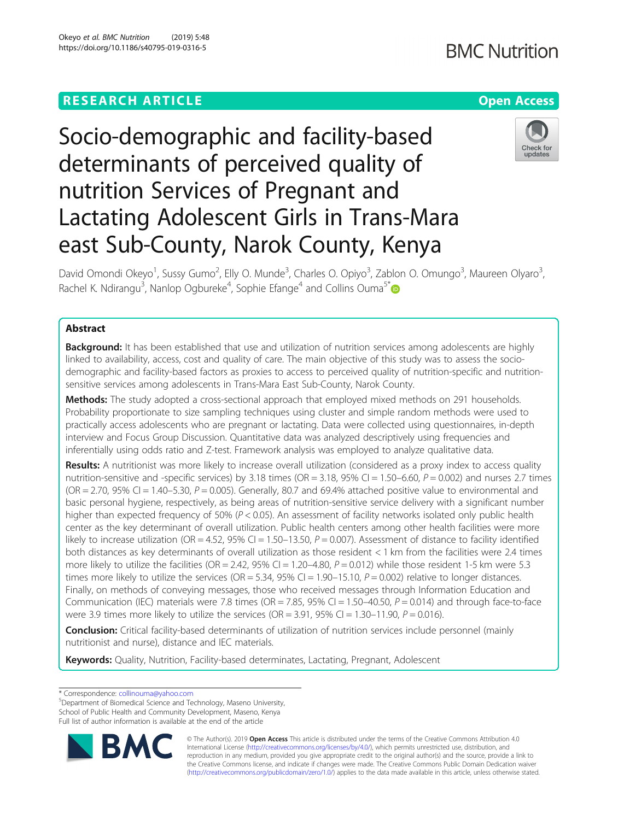## **RESEARCH ARTICLE Example 2014 12:30 The Contract of Contract ACCESS**

# Socio-demographic and facility-based determinants of perceived quality of nutrition Services of Pregnant and Lactating Adolescent Girls in Trans-Mara east Sub-County, Narok County, Kenya

David Omondi Okeyo<sup>1</sup>, Sussy Gumo<sup>2</sup>, Elly O. Munde<sup>3</sup>, Charles O. Opiyo<sup>3</sup>, Zablon O. Omungo<sup>3</sup>, Maureen Olyaro<sup>3</sup> , Rachel K. Ndirangu<sup>3</sup>, Nanlop Ogbureke<sup>4</sup>, Sophie Efange<sup>4</sup> and Collins Ouma<sup>5\*</sup>

## Abstract

**Background:** It has been established that use and utilization of nutrition services among adolescents are highly linked to availability, access, cost and quality of care. The main objective of this study was to assess the sociodemographic and facility-based factors as proxies to access to perceived quality of nutrition-specific and nutritionsensitive services among adolescents in Trans-Mara East Sub-County, Narok County.

Methods: The study adopted a cross-sectional approach that employed mixed methods on 291 households. Probability proportionate to size sampling techniques using cluster and simple random methods were used to practically access adolescents who are pregnant or lactating. Data were collected using questionnaires, in-depth interview and Focus Group Discussion. Quantitative data was analyzed descriptively using frequencies and inferentially using odds ratio and Z-test. Framework analysis was employed to analyze qualitative data.

Results: A nutritionist was more likely to increase overall utilization (considered as a proxy index to access quality nutrition-sensitive and -specific services) by 3.18 times (OR = 3.18, 95% CI = 1.50–6.60,  $P = 0.002$ ) and nurses 2.7 times ( $OR = 2.70$ ,  $95\%$  CI = 1.40–5.30,  $P = 0.005$ ). Generally, 80.7 and 69.4% attached positive value to environmental and basic personal hygiene, respectively, as being areas of nutrition-sensitive service delivery with a significant number higher than expected frequency of 50% ( $P < 0.05$ ). An assessment of facility networks isolated only public health center as the key determinant of overall utilization. Public health centers among other health facilities were more likely to increase utilization (OR = 4.52, 95% CI = 1.50-13.50,  $P = 0.007$ ). Assessment of distance to facility identified both distances as key determinants of overall utilization as those resident < 1 km from the facilities were 2.4 times more likely to utilize the facilities (OR = 2.42, 95% CI = 1.20–4.80,  $P = 0.012$ ) while those resident 1-5 km were 5.3 times more likely to utilize the services (OR = 5.34, 95% CI = 1.90-15.10,  $P = 0.002$ ) relative to longer distances. Finally, on methods of conveying messages, those who received messages through Information Education and Communication (IEC) materials were 7.8 times (OR = 7.85, 95% CI = 1.50–40.50,  $P = 0.014$ ) and through face-to-face were 3.9 times more likely to utilize the services (OR =  $3.91$ ,  $95\%$  CI =  $1.30-11.90$ ,  $P = 0.016$ ).

**Conclusion:** Critical facility-based determinants of utilization of nutrition services include personnel (mainly nutritionist and nurse), distance and IEC materials.

Keywords: Quality, Nutrition, Facility-based determinates, Lactating, Pregnant, Adolescent

\* Correspondence: [collinouma@yahoo.com](mailto:collinouma@yahoo.com) <sup>5</sup>

**BM** 

Department of Biomedical Science and Technology, Maseno University, School of Public Health and Community Development, Maseno, Kenya Full list of author information is available at the end of the article







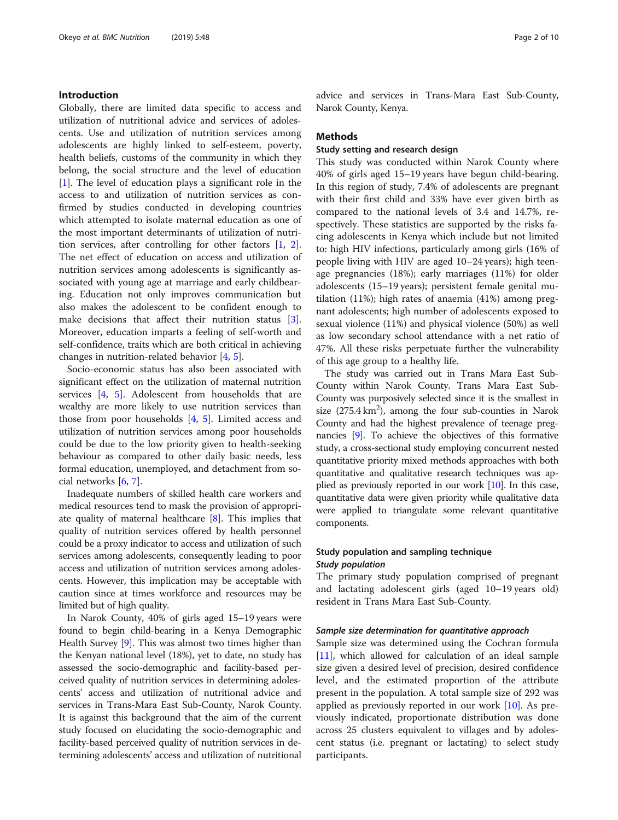## Introduction

Globally, there are limited data specific to access and utilization of nutritional advice and services of adolescents. Use and utilization of nutrition services among adolescents are highly linked to self-esteem, poverty, health beliefs, customs of the community in which they belong, the social structure and the level of education [[1\]](#page-8-0). The level of education plays a significant role in the access to and utilization of nutrition services as confirmed by studies conducted in developing countries which attempted to isolate maternal education as one of the most important determinants of utilization of nutrition services, after controlling for other factors [\[1](#page-8-0), [2](#page-8-0)]. The net effect of education on access and utilization of nutrition services among adolescents is significantly associated with young age at marriage and early childbearing. Education not only improves communication but also makes the adolescent to be confident enough to make decisions that affect their nutrition status [\[3](#page-8-0)]. Moreover, education imparts a feeling of self-worth and self-confidence, traits which are both critical in achieving changes in nutrition-related behavior [[4,](#page-8-0) [5\]](#page-8-0).

Socio-economic status has also been associated with significant effect on the utilization of maternal nutrition services [\[4](#page-8-0), [5](#page-8-0)]. Adolescent from households that are wealthy are more likely to use nutrition services than those from poor households [\[4,](#page-8-0) [5](#page-8-0)]. Limited access and utilization of nutrition services among poor households could be due to the low priority given to health-seeking behaviour as compared to other daily basic needs, less formal education, unemployed, and detachment from social networks [[6,](#page-8-0) [7\]](#page-8-0).

Inadequate numbers of skilled health care workers and medical resources tend to mask the provision of appropriate quality of maternal healthcare [\[8\]](#page-8-0). This implies that quality of nutrition services offered by health personnel could be a proxy indicator to access and utilization of such services among adolescents, consequently leading to poor access and utilization of nutrition services among adolescents. However, this implication may be acceptable with caution since at times workforce and resources may be limited but of high quality.

In Narok County, 40% of girls aged 15–19 years were found to begin child-bearing in a Kenya Demographic Health Survey [[9](#page-8-0)]. This was almost two times higher than the Kenyan national level (18%), yet to date, no study has assessed the socio-demographic and facility-based perceived quality of nutrition services in determining adolescents' access and utilization of nutritional advice and services in Trans-Mara East Sub-County, Narok County. It is against this background that the aim of the current study focused on elucidating the socio-demographic and facility-based perceived quality of nutrition services in determining adolescents' access and utilization of nutritional advice and services in Trans-Mara East Sub-County, Narok County, Kenya.

## Methods

## Study setting and research design

This study was conducted within Narok County where 40% of girls aged 15–19 years have begun child-bearing. In this region of study, 7.4% of adolescents are pregnant with their first child and 33% have ever given birth as compared to the national levels of 3.4 and 14.7%, respectively. These statistics are supported by the risks facing adolescents in Kenya which include but not limited to: high HIV infections, particularly among girls (16% of people living with HIV are aged 10–24 years); high teenage pregnancies (18%); early marriages (11%) for older adolescents (15–19 years); persistent female genital mutilation (11%); high rates of anaemia (41%) among pregnant adolescents; high number of adolescents exposed to sexual violence (11%) and physical violence (50%) as well as low secondary school attendance with a net ratio of 47%. All these risks perpetuate further the vulnerability of this age group to a healthy life.

The study was carried out in Trans Mara East Sub-County within Narok County. Trans Mara East Sub-County was purposively selected since it is the smallest in size  $(275.4 \text{ km}^2)$ , among the four sub-counties in Narok County and had the highest prevalence of teenage pregnancies [\[9\]](#page-8-0). To achieve the objectives of this formative study, a cross-sectional study employing concurrent nested quantitative priority mixed methods approaches with both quantitative and qualitative research techniques was applied as previously reported in our work [\[10](#page-8-0)]. In this case, quantitative data were given priority while qualitative data were applied to triangulate some relevant quantitative components.

## Study population and sampling technique Study population

The primary study population comprised of pregnant and lactating adolescent girls (aged 10–19 years old) resident in Trans Mara East Sub-County.

#### Sample size determination for quantitative approach

Sample size was determined using the Cochran formula [[11\]](#page-8-0), which allowed for calculation of an ideal sample size given a desired level of precision, desired confidence level, and the estimated proportion of the attribute present in the population. A total sample size of 292 was applied as previously reported in our work [[10\]](#page-8-0). As previously indicated, proportionate distribution was done across 25 clusters equivalent to villages and by adolescent status (i.e. pregnant or lactating) to select study participants.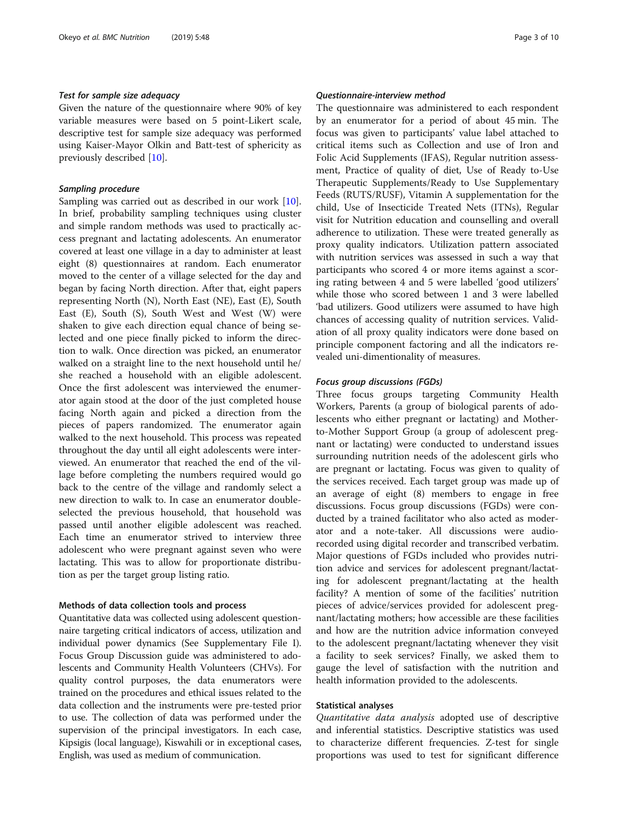## Test for sample size adequacy

Given the nature of the questionnaire where 90% of key variable measures were based on 5 point-Likert scale, descriptive test for sample size adequacy was performed using Kaiser-Mayor Olkin and Batt-test of sphericity as previously described [\[10\]](#page-8-0).

## Sampling procedure

Sampling was carried out as described in our work [\[10](#page-8-0)]. In brief, probability sampling techniques using cluster and simple random methods was used to practically access pregnant and lactating adolescents. An enumerator covered at least one village in a day to administer at least eight (8) questionnaires at random. Each enumerator moved to the center of a village selected for the day and began by facing North direction. After that, eight papers representing North (N), North East (NE), East (E), South East (E), South (S), South West and West (W) were shaken to give each direction equal chance of being selected and one piece finally picked to inform the direction to walk. Once direction was picked, an enumerator walked on a straight line to the next household until he/ she reached a household with an eligible adolescent. Once the first adolescent was interviewed the enumerator again stood at the door of the just completed house facing North again and picked a direction from the pieces of papers randomized. The enumerator again walked to the next household. This process was repeated throughout the day until all eight adolescents were interviewed. An enumerator that reached the end of the village before completing the numbers required would go back to the centre of the village and randomly select a new direction to walk to. In case an enumerator doubleselected the previous household, that household was passed until another eligible adolescent was reached. Each time an enumerator strived to interview three adolescent who were pregnant against seven who were lactating. This was to allow for proportionate distribution as per the target group listing ratio.

## Methods of data collection tools and process

Quantitative data was collected using adolescent questionnaire targeting critical indicators of access, utilization and individual power dynamics (See Supplementary File I). Focus Group Discussion guide was administered to adolescents and Community Health Volunteers (CHVs). For quality control purposes, the data enumerators were trained on the procedures and ethical issues related to the data collection and the instruments were pre-tested prior to use. The collection of data was performed under the supervision of the principal investigators. In each case, Kipsigis (local language), Kiswahili or in exceptional cases, English, was used as medium of communication.

## Questionnaire-interview method

The questionnaire was administered to each respondent by an enumerator for a period of about 45 min. The focus was given to participants' value label attached to critical items such as Collection and use of Iron and Folic Acid Supplements (IFAS), Regular nutrition assessment, Practice of quality of diet, Use of Ready to-Use Therapeutic Supplements/Ready to Use Supplementary Feeds (RUTS/RUSF), Vitamin A supplementation for the child, Use of Insecticide Treated Nets (ITNs), Regular visit for Nutrition education and counselling and overall adherence to utilization. These were treated generally as proxy quality indicators. Utilization pattern associated with nutrition services was assessed in such a way that participants who scored 4 or more items against a scoring rating between 4 and 5 were labelled 'good utilizers' while those who scored between 1 and 3 were labelled 'bad utilizers. Good utilizers were assumed to have high chances of accessing quality of nutrition services. Validation of all proxy quality indicators were done based on principle component factoring and all the indicators revealed uni-dimentionality of measures.

### Focus group discussions (FGDs)

Three focus groups targeting Community Health Workers, Parents (a group of biological parents of adolescents who either pregnant or lactating) and Motherto-Mother Support Group (a group of adolescent pregnant or lactating) were conducted to understand issues surrounding nutrition needs of the adolescent girls who are pregnant or lactating. Focus was given to quality of the services received. Each target group was made up of an average of eight (8) members to engage in free discussions. Focus group discussions (FGDs) were conducted by a trained facilitator who also acted as moderator and a note-taker. All discussions were audiorecorded using digital recorder and transcribed verbatim. Major questions of FGDs included who provides nutrition advice and services for adolescent pregnant/lactating for adolescent pregnant/lactating at the health facility? A mention of some of the facilities' nutrition pieces of advice/services provided for adolescent pregnant/lactating mothers; how accessible are these facilities and how are the nutrition advice information conveyed to the adolescent pregnant/lactating whenever they visit a facility to seek services? Finally, we asked them to gauge the level of satisfaction with the nutrition and health information provided to the adolescents.

## Statistical analyses

Quantitative data analysis adopted use of descriptive and inferential statistics. Descriptive statistics was used to characterize different frequencies. Z-test for single proportions was used to test for significant difference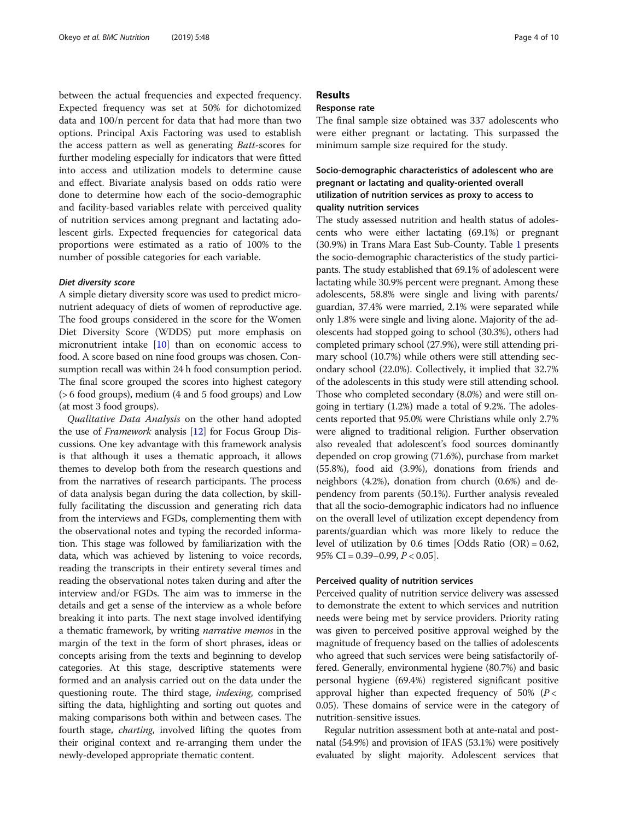between the actual frequencies and expected frequency. Expected frequency was set at 50% for dichotomized data and 100/n percent for data that had more than two options. Principal Axis Factoring was used to establish the access pattern as well as generating Batt-scores for further modeling especially for indicators that were fitted into access and utilization models to determine cause and effect. Bivariate analysis based on odds ratio were done to determine how each of the socio-demographic and facility-based variables relate with perceived quality of nutrition services among pregnant and lactating adolescent girls. Expected frequencies for categorical data proportions were estimated as a ratio of 100% to the number of possible categories for each variable.

## Diet diversity score

A simple dietary diversity score was used to predict micronutrient adequacy of diets of women of reproductive age. The food groups considered in the score for the Women Diet Diversity Score (WDDS) put more emphasis on micronutrient intake [[10](#page-8-0)] than on economic access to food. A score based on nine food groups was chosen. Consumption recall was within 24 h food consumption period. The final score grouped the scores into highest category (> 6 food groups), medium (4 and 5 food groups) and Low (at most 3 food groups).

Qualitative Data Analysis on the other hand adopted the use of Framework analysis [\[12\]](#page-8-0) for Focus Group Discussions. One key advantage with this framework analysis is that although it uses a thematic approach, it allows themes to develop both from the research questions and from the narratives of research participants. The process of data analysis began during the data collection, by skillfully facilitating the discussion and generating rich data from the interviews and FGDs, complementing them with the observational notes and typing the recorded information. This stage was followed by familiarization with the data, which was achieved by listening to voice records, reading the transcripts in their entirety several times and reading the observational notes taken during and after the interview and/or FGDs. The aim was to immerse in the details and get a sense of the interview as a whole before breaking it into parts. The next stage involved identifying a thematic framework, by writing narrative memos in the margin of the text in the form of short phrases, ideas or concepts arising from the texts and beginning to develop categories. At this stage, descriptive statements were formed and an analysis carried out on the data under the questioning route. The third stage, *indexing*, comprised sifting the data, highlighting and sorting out quotes and making comparisons both within and between cases. The fourth stage, charting, involved lifting the quotes from their original context and re-arranging them under the newly-developed appropriate thematic content.

## Results

## Response rate

The final sample size obtained was 337 adolescents who were either pregnant or lactating. This surpassed the minimum sample size required for the study.

## Socio-demographic characteristics of adolescent who are pregnant or lactating and quality-oriented overall utilization of nutrition services as proxy to access to quality nutrition services

The study assessed nutrition and health status of adolescents who were either lactating (69.1%) or pregnant (30.9%) in Trans Mara East Sub-County. Table [1](#page-4-0) presents the socio-demographic characteristics of the study participants. The study established that 69.1% of adolescent were lactating while 30.9% percent were pregnant. Among these adolescents, 58.8% were single and living with parents/ guardian, 37.4% were married, 2.1% were separated while only 1.8% were single and living alone. Majority of the adolescents had stopped going to school (30.3%), others had completed primary school (27.9%), were still attending primary school (10.7%) while others were still attending secondary school (22.0%). Collectively, it implied that 32.7% of the adolescents in this study were still attending school. Those who completed secondary (8.0%) and were still ongoing in tertiary (1.2%) made a total of 9.2%. The adolescents reported that 95.0% were Christians while only 2.7% were aligned to traditional religion. Further observation also revealed that adolescent's food sources dominantly depended on crop growing (71.6%), purchase from market (55.8%), food aid (3.9%), donations from friends and neighbors (4.2%), donation from church (0.6%) and dependency from parents (50.1%). Further analysis revealed that all the socio-demographic indicators had no influence on the overall level of utilization except dependency from parents/guardian which was more likely to reduce the level of utilization by 0.6 times [Odds Ratio  $(OR) = 0.62$ , 95% CI =  $0.39-0.99$ ,  $P < 0.05$ ].

## Perceived quality of nutrition services

Perceived quality of nutrition service delivery was assessed to demonstrate the extent to which services and nutrition needs were being met by service providers. Priority rating was given to perceived positive approval weighed by the magnitude of frequency based on the tallies of adolescents who agreed that such services were being satisfactorily offered. Generally, environmental hygiene (80.7%) and basic personal hygiene (69.4%) registered significant positive approval higher than expected frequency of 50% ( $P <$ 0.05). These domains of service were in the category of nutrition-sensitive issues.

Regular nutrition assessment both at ante-natal and postnatal (54.9%) and provision of IFAS (53.1%) were positively evaluated by slight majority. Adolescent services that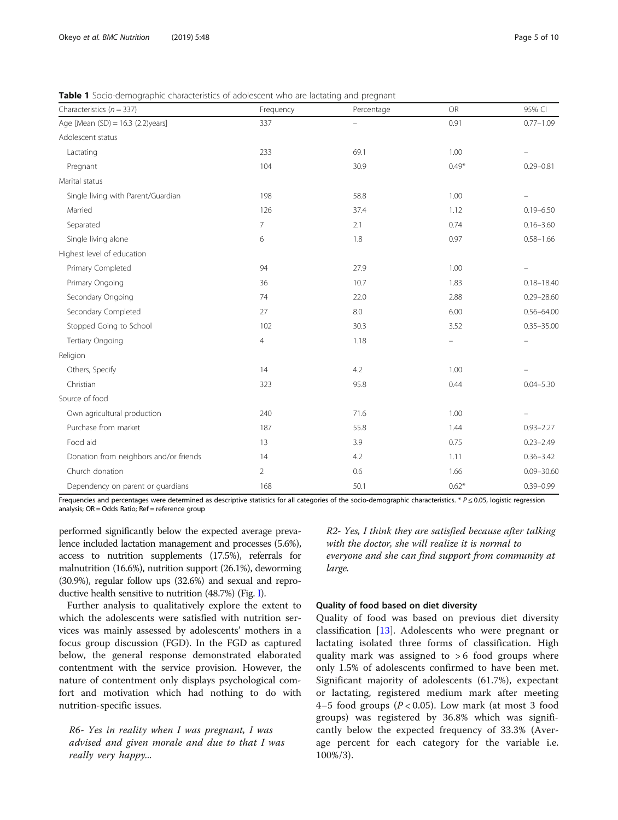| Characteristics ( $n = 337$ )          | Frequency      | Percentage               | <b>OR</b> | 95% CI         |
|----------------------------------------|----------------|--------------------------|-----------|----------------|
| Age [Mean (SD) = 16.3 (2.2)years]      | 337            | $\overline{\phantom{0}}$ | 0.91      | $0.77 - 1.09$  |
| Adolescent status                      |                |                          |           |                |
| Lactating                              | 233            | 69.1                     | 1.00      |                |
| Pregnant                               | 104            | 30.9                     | $0.49*$   | $0.29 - 0.81$  |
| Marital status                         |                |                          |           |                |
| Single living with Parent/Guardian     | 198            | 58.8                     | 1.00      |                |
| Married                                | 126            | 37.4                     | 1.12      | $0.19 - 6.50$  |
| Separated                              | 7              | 2.1                      | 0.74      | $0.16 - 3.60$  |
| Single living alone                    | 6              | 1.8                      | 0.97      | $0.58 - 1.66$  |
| Highest level of education             |                |                          |           |                |
| Primary Completed                      | 94             | 27.9                     | 1.00      |                |
| Primary Ongoing                        | 36             | 10.7                     | 1.83      | $0.18 - 18.40$ |
| Secondary Ongoing                      | 74             | 22.0                     | 2.88      | $0.29 - 28.60$ |
| Secondary Completed                    | 27             | 8.0                      | 6.00      | $0.56 - 64.00$ |
| Stopped Going to School                | 102            | 30.3                     | 3.52      | $0.35 - 35.00$ |
| Tertiary Ongoing                       | 4              | 1.18                     |           |                |
| Religion                               |                |                          |           |                |
| Others, Specify                        | 14             | 4.2                      | 1.00      |                |
| Christian                              | 323            | 95.8                     | 0.44      | $0.04 - 5.30$  |
| Source of food                         |                |                          |           |                |
| Own agricultural production            | 240            | 71.6                     | 1.00      |                |
| Purchase from market                   | 187            | 55.8                     | 1.44      | $0.93 - 2.27$  |
| Food aid                               | 13             | 3.9                      | 0.75      | $0.23 - 2.49$  |
| Donation from neighbors and/or friends | 14             | 4.2                      | 1.11      | $0.36 - 3.42$  |
| Church donation                        | $\overline{2}$ | 0.6                      | 1.66      | $0.09 - 30.60$ |
| Dependency on parent or guardians      | 168            | 50.1                     | $0.62*$   | $0.39 - 0.99$  |

<span id="page-4-0"></span>**Table 1** Socio-demographic characteristics of adolescent who are lactating and pregnant

Frequencies and percentages were determined as descriptive statistics for all categories of the socio-demographic characteristics. \*  $P \le 0.05$ , logistic regression analysis; OR = Odds Ratio; Ref = reference group

performed significantly below the expected average prevalence included lactation management and processes (5.6%), access to nutrition supplements (17.5%), referrals for malnutrition (16.6%), nutrition support (26.1%), deworming (30.9%), regular follow ups (32.6%) and sexual and reproductive health sensitive to nutrition (48.7%) (Fig. [I](#page-5-0)).

Further analysis to qualitatively explore the extent to which the adolescents were satisfied with nutrition services was mainly assessed by adolescents' mothers in a focus group discussion (FGD). In the FGD as captured below, the general response demonstrated elaborated contentment with the service provision. However, the nature of contentment only displays psychological comfort and motivation which had nothing to do with nutrition-specific issues.

R6- Yes in reality when I was pregnant, I was advised and given morale and due to that I was really very happy...

R2- Yes, I think they are satisfied because after talking with the doctor, she will realize it is normal to everyone and she can find support from community at large.

## Quality of food based on diet diversity

Quality of food was based on previous diet diversity classification [[13\]](#page-8-0). Adolescents who were pregnant or lactating isolated three forms of classification. High quality mark was assigned to  $> 6$  food groups where only 1.5% of adolescents confirmed to have been met. Significant majority of adolescents (61.7%), expectant or lactating, registered medium mark after meeting 4–5 food groups ( $P < 0.05$ ). Low mark (at most 3 food groups) was registered by 36.8% which was significantly below the expected frequency of 33.3% (Average percent for each category for the variable i.e. 100%/3).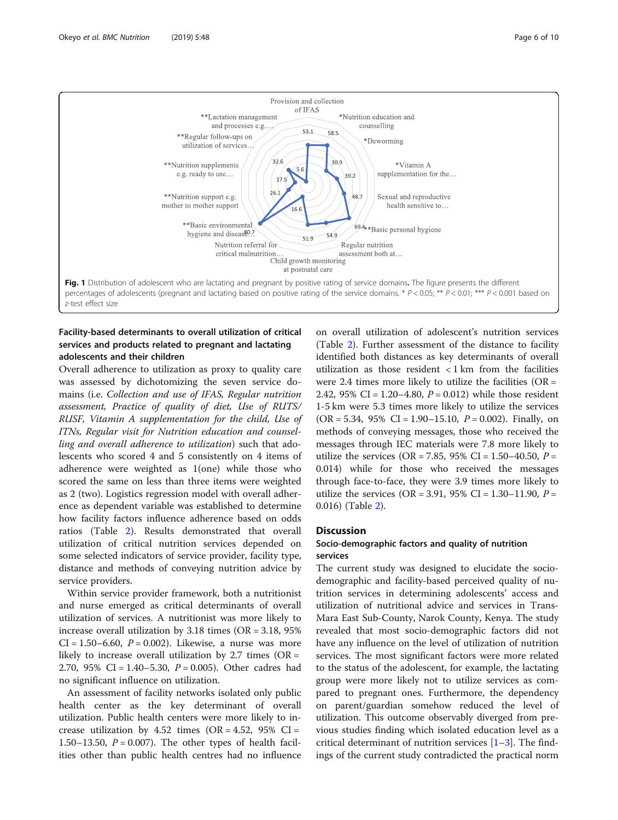<span id="page-5-0"></span>

## Facility-based determinants to overall utilization of critical services and products related to pregnant and lactating adolescents and their children

Overall adherence to utilization as proxy to quality care was assessed by dichotomizing the seven service domains (i.e. Collection and use of IFAS, Regular nutrition assessment, Practice of quality of diet, Use of RUTS/ RUSF, Vitamin A supplementation for the child, Use of ITNs, Regular visit for Nutrition education and counselling and overall adherence to utilization) such that adolescents who scored 4 and 5 consistently on 4 items of adherence were weighted as 1(one) while those who scored the same on less than three items were weighted as 2 (two). Logistics regression model with overall adherence as dependent variable was established to determine how facility factors influence adherence based on odds ratios (Table [2\)](#page-6-0). Results demonstrated that overall utilization of critical nutrition services depended on some selected indicators of service provider, facility type, distance and methods of conveying nutrition advice by service providers.

Within service provider framework, both a nutritionist and nurse emerged as critical determinants of overall utilization of services. A nutritionist was more likely to increase overall utilization by  $3.18$  times (OR =  $3.18$ ,  $95\%$ )  $CI = 1.50 - 6.60$ ,  $P = 0.002$ ). Likewise, a nurse was more likely to increase overall utilization by 2.7 times ( $OR =$ 2.70, 95% CI = 1.40–5.30,  $P = 0.005$ ). Other cadres had no significant influence on utilization.

An assessment of facility networks isolated only public health center as the key determinant of overall utilization. Public health centers were more likely to increase utilization by 4.52 times (OR = 4.52, 95% CI = 1.50–13.50,  $P = 0.007$ . The other types of health facilities other than public health centres had no influence

on overall utilization of adolescent's nutrition services (Table [2\)](#page-6-0). Further assessment of the distance to facility identified both distances as key determinants of overall utilization as those resident  $\langle 1 \text{ km} \rangle$  from the facilities were 2.4 times more likely to utilize the facilities ( $OR =$ 2.42, 95% CI = 1.20–4.80,  $P = 0.012$ ) while those resident 1-5 km were 5.3 times more likely to utilize the services  $(OR = 5.34, 95\% \text{ CI} = 1.90 - 15.10, P = 0.002)$ . Finally, on methods of conveying messages, those who received the messages through IEC materials were 7.8 more likely to utilize the services (OR = 7.85, 95% CI = 1.50–40.50,  $P =$ 0.014) while for those who received the messages through face-to-face, they were 3.9 times more likely to utilize the services (OR = 3.91, 95% CI = 1.30–11.90,  $P =$ 0.016) (Table [2\)](#page-6-0).

## **Discussion**

## Socio-demographic factors and quality of nutrition services

The current study was designed to elucidate the sociodemographic and facility-based perceived quality of nutrition services in determining adolescents' access and utilization of nutritional advice and services in Trans-Mara East Sub-County, Narok County, Kenya. The study revealed that most socio-demographic factors did not have any influence on the level of utilization of nutrition services. The most significant factors were more related to the status of the adolescent, for example, the lactating group were more likely not to utilize services as compared to pregnant ones. Furthermore, the dependency on parent/guardian somehow reduced the level of utilization. This outcome observably diverged from previous studies finding which isolated education level as a critical determinant of nutrition services  $[1-3]$  $[1-3]$  $[1-3]$  $[1-3]$ . The findings of the current study contradicted the practical norm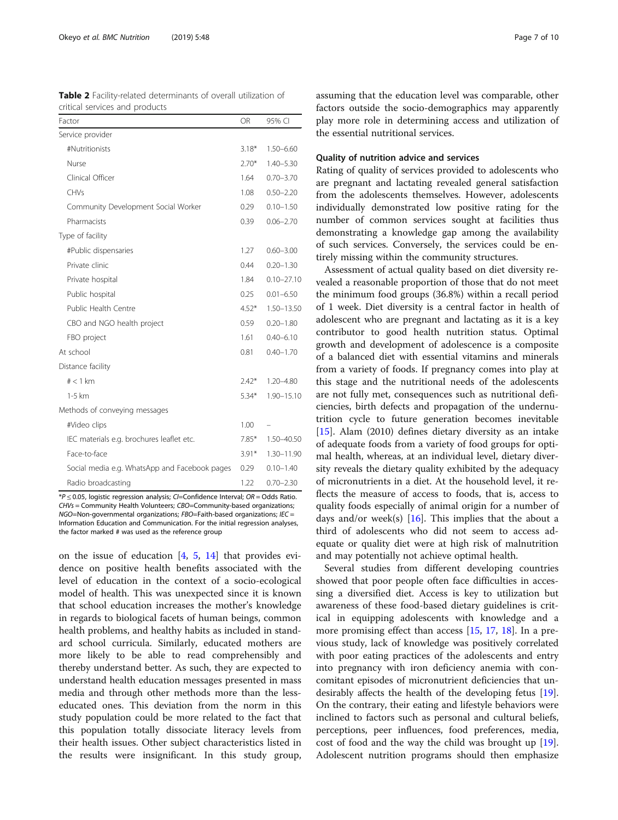<span id="page-6-0"></span>Table 2 Facility-related determinants of overall utilization of

| critical services and products                |         |                |  |  |
|-----------------------------------------------|---------|----------------|--|--|
| Factor                                        | OR      | 95% CI         |  |  |
| Service provider                              |         |                |  |  |
| #Nutritionists                                | $3.18*$ | $1.50 - 6.60$  |  |  |
| Nurse                                         | $2.70*$ | $1.40 - 5.30$  |  |  |
| Clinical Officer                              | 1.64    | $0.70 - 3.70$  |  |  |
| CHVs                                          | 1.08    | $0.50 - 2.20$  |  |  |
| Community Development Social Worker           | 0.29    | $0.10 - 1.50$  |  |  |
| Pharmacists                                   | 0.39    | $0.06 - 2.70$  |  |  |
| Type of facility                              |         |                |  |  |
| #Public dispensaries                          | 1.27    | $0.60 - 3.00$  |  |  |
| Private clinic                                | 0.44    | $0.20 - 1.30$  |  |  |
| Private hospital                              | 1.84    | $0.10 - 27.10$ |  |  |
| Public hospital                               | 0.25    | $0.01 - 6.50$  |  |  |
| Public Health Centre                          | $4.52*$ | 1.50-13.50     |  |  |
| CBO and NGO health project                    | 0.59    | $0.20 - 1.80$  |  |  |
| FBO project                                   | 1.61    | $0.40 - 6.10$  |  |  |
| At school                                     | 0.81    | $0.40 - 1.70$  |  |  |
| Distance facility                             |         |                |  |  |
| $# < 1$ km                                    | $2.42*$ | 1.20-4.80      |  |  |
| 1-5 km                                        | $5.34*$ | 1.90-15.10     |  |  |
| Methods of conveying messages                 |         |                |  |  |
| #Video clips                                  | 1.00    |                |  |  |
| IEC materials e.g. brochures leaflet etc.     |         | 1.50-40.50     |  |  |
| Face-to-face                                  |         | $1.30 - 11.90$ |  |  |
| Social media e.g. WhatsApp and Facebook pages |         | $0.10 - 1.40$  |  |  |
| Radio broadcasting                            |         | $0.70 - 2.30$  |  |  |

 $*P \le 0.05$ , logistic regression analysis; CI=Confidence Interval; OR = Odds Ratio. CHVs = Community Health Volunteers; CBO=Community-based organizations;  $NGO$ =Non-governmental organizations:  $FBO$ =Faith-based organizations:  $\textit{IEC}$  = Information Education and Communication. For the initial regression analyses, the factor marked # was used as the reference group

on the issue of education  $[4, 5, 14]$  $[4, 5, 14]$  $[4, 5, 14]$  $[4, 5, 14]$  $[4, 5, 14]$  $[4, 5, 14]$  that provides evidence on positive health benefits associated with the level of education in the context of a socio-ecological model of health. This was unexpected since it is known that school education increases the mother's knowledge in regards to biological facets of human beings, common health problems, and healthy habits as included in standard school curricula. Similarly, educated mothers are more likely to be able to read comprehensibly and thereby understand better. As such, they are expected to understand health education messages presented in mass media and through other methods more than the lesseducated ones. This deviation from the norm in this study population could be more related to the fact that this population totally dissociate literacy levels from their health issues. Other subject characteristics listed in the results were insignificant. In this study group, assuming that the education level was comparable, other factors outside the socio-demographics may apparently play more role in determining access and utilization of the essential nutritional services.

## Quality of nutrition advice and services

Rating of quality of services provided to adolescents who are pregnant and lactating revealed general satisfaction from the adolescents themselves. However, adolescents individually demonstrated low positive rating for the number of common services sought at facilities thus demonstrating a knowledge gap among the availability of such services. Conversely, the services could be entirely missing within the community structures.

Assessment of actual quality based on diet diversity revealed a reasonable proportion of those that do not meet the minimum food groups (36.8%) within a recall period of 1 week. Diet diversity is a central factor in health of adolescent who are pregnant and lactating as it is a key contributor to good health nutrition status. Optimal growth and development of adolescence is a composite of a balanced diet with essential vitamins and minerals from a variety of foods. If pregnancy comes into play at this stage and the nutritional needs of the adolescents are not fully met, consequences such as nutritional deficiencies, birth defects and propagation of the undernutrition cycle to future generation becomes inevitable [[15\]](#page-8-0). Alam (2010) defines dietary diversity as an intake of adequate foods from a variety of food groups for optimal health, whereas, at an individual level, dietary diversity reveals the dietary quality exhibited by the adequacy of micronutrients in a diet. At the household level, it reflects the measure of access to foods, that is, access to quality foods especially of animal origin for a number of days and/or week(s)  $[16]$  $[16]$ . This implies that the about a third of adolescents who did not seem to access adequate or quality diet were at high risk of malnutrition and may potentially not achieve optimal health.

Several studies from different developing countries showed that poor people often face difficulties in accessing a diversified diet. Access is key to utilization but awareness of these food-based dietary guidelines is critical in equipping adolescents with knowledge and a more promising effect than access [[15,](#page-8-0) [17,](#page-8-0) [18](#page-8-0)]. In a previous study, lack of knowledge was positively correlated with poor eating practices of the adolescents and entry into pregnancy with iron deficiency anemia with concomitant episodes of micronutrient deficiencies that undesirably affects the health of the developing fetus [\[19](#page-8-0)]. On the contrary, their eating and lifestyle behaviors were inclined to factors such as personal and cultural beliefs, perceptions, peer influences, food preferences, media, cost of food and the way the child was brought up [\[19](#page-8-0)]. Adolescent nutrition programs should then emphasize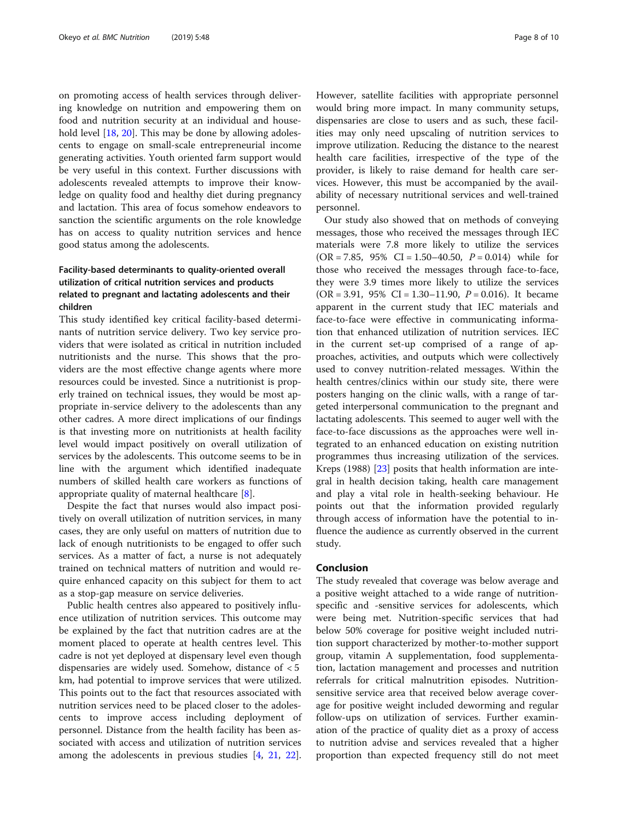on promoting access of health services through delivering knowledge on nutrition and empowering them on food and nutrition security at an individual and house-hold level [\[18](#page-8-0), [20](#page-9-0)]. This may be done by allowing adolescents to engage on small-scale entrepreneurial income generating activities. Youth oriented farm support would be very useful in this context. Further discussions with adolescents revealed attempts to improve their knowledge on quality food and healthy diet during pregnancy and lactation. This area of focus somehow endeavors to sanction the scientific arguments on the role knowledge has on access to quality nutrition services and hence good status among the adolescents.

## Facility-based determinants to quality-oriented overall utilization of critical nutrition services and products related to pregnant and lactating adolescents and their children

This study identified key critical facility-based determinants of nutrition service delivery. Two key service providers that were isolated as critical in nutrition included nutritionists and the nurse. This shows that the providers are the most effective change agents where more resources could be invested. Since a nutritionist is properly trained on technical issues, they would be most appropriate in-service delivery to the adolescents than any other cadres. A more direct implications of our findings is that investing more on nutritionists at health facility level would impact positively on overall utilization of services by the adolescents. This outcome seems to be in line with the argument which identified inadequate numbers of skilled health care workers as functions of appropriate quality of maternal healthcare [\[8](#page-8-0)].

Despite the fact that nurses would also impact positively on overall utilization of nutrition services, in many cases, they are only useful on matters of nutrition due to lack of enough nutritionists to be engaged to offer such services. As a matter of fact, a nurse is not adequately trained on technical matters of nutrition and would require enhanced capacity on this subject for them to act as a stop-gap measure on service deliveries.

Public health centres also appeared to positively influence utilization of nutrition services. This outcome may be explained by the fact that nutrition cadres are at the moment placed to operate at health centres level. This cadre is not yet deployed at dispensary level even though dispensaries are widely used. Somehow, distance of < 5 km, had potential to improve services that were utilized. This points out to the fact that resources associated with nutrition services need to be placed closer to the adolescents to improve access including deployment of personnel. Distance from the health facility has been associated with access and utilization of nutrition services among the adolescents in previous studies [[4,](#page-8-0) [21](#page-9-0), [22](#page-9-0)]. However, satellite facilities with appropriate personnel would bring more impact. In many community setups, dispensaries are close to users and as such, these facilities may only need upscaling of nutrition services to improve utilization. Reducing the distance to the nearest health care facilities, irrespective of the type of the provider, is likely to raise demand for health care services. However, this must be accompanied by the availability of necessary nutritional services and well-trained personnel.

Our study also showed that on methods of conveying messages, those who received the messages through IEC materials were 7.8 more likely to utilize the services  $(OR = 7.85, 95\% \text{ CI} = 1.50 - 40.50, P = 0.014)$  while for those who received the messages through face-to-face, they were 3.9 times more likely to utilize the services  $(OR = 3.91, 95\% \text{ CI} = 1.30 - 11.90, P = 0.016)$ . It became apparent in the current study that IEC materials and face-to-face were effective in communicating information that enhanced utilization of nutrition services. IEC in the current set-up comprised of a range of approaches, activities, and outputs which were collectively used to convey nutrition-related messages. Within the health centres/clinics within our study site, there were posters hanging on the clinic walls, with a range of targeted interpersonal communication to the pregnant and lactating adolescents. This seemed to auger well with the face-to-face discussions as the approaches were well integrated to an enhanced education on existing nutrition programmes thus increasing utilization of the services. Kreps (1988) [\[23](#page-9-0)] posits that health information are integral in health decision taking, health care management and play a vital role in health-seeking behaviour. He points out that the information provided regularly through access of information have the potential to influence the audience as currently observed in the current study.

## Conclusion

The study revealed that coverage was below average and a positive weight attached to a wide range of nutritionspecific and -sensitive services for adolescents, which were being met. Nutrition-specific services that had below 50% coverage for positive weight included nutrition support characterized by mother-to-mother support group, vitamin A supplementation, food supplementation, lactation management and processes and nutrition referrals for critical malnutrition episodes. Nutritionsensitive service area that received below average coverage for positive weight included deworming and regular follow-ups on utilization of services. Further examination of the practice of quality diet as a proxy of access to nutrition advise and services revealed that a higher proportion than expected frequency still do not meet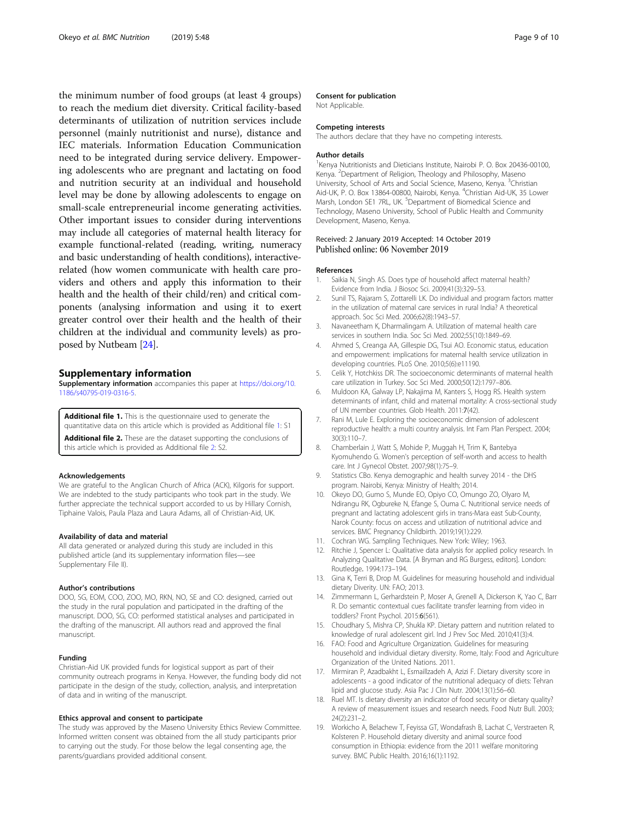<span id="page-8-0"></span>the minimum number of food groups (at least 4 groups) to reach the medium diet diversity. Critical facility-based determinants of utilization of nutrition services include personnel (mainly nutritionist and nurse), distance and IEC materials. Information Education Communication need to be integrated during service delivery. Empowering adolescents who are pregnant and lactating on food and nutrition security at an individual and household level may be done by allowing adolescents to engage on small-scale entrepreneurial income generating activities. Other important issues to consider during interventions may include all categories of maternal health literacy for example functional-related (reading, writing, numeracy and basic understanding of health conditions), interactiverelated (how women communicate with health care providers and others and apply this information to their health and the health of their child/ren) and critical components (analysing information and using it to exert greater control over their health and the health of their children at the individual and community levels) as proposed by Nutbeam [[24](#page-9-0)].

## Supplementary information

Supplementary information accompanies this paper at [https://doi.org/10.](https://doi.org/10.1186/s40795-019-0316-5) [1186/s40795-019-0316-5.](https://doi.org/10.1186/s40795-019-0316-5)

Additional file 1. This is the questionnaire used to generate the quantitative data on this article which is provided as Additional file 1: S1

Additional file 2. These are the dataset supporting the conclusions of

this article which is provided as Additional file 2: S2.

#### Acknowledgements

We are grateful to the Anglican Church of Africa (ACK), Kilgoris for support. We are indebted to the study participants who took part in the study. We further appreciate the technical support accorded to us by Hillary Cornish, Tiphaine Valois, Paula Plaza and Laura Adams, all of Christian-Aid, UK.

## Availability of data and material

All data generated or analyzed during this study are included in this published article (and its supplementary information files—see Supplementary File II).

#### Author's contributions

DOO, SG, EOM, COO, ZOO, MO, RKN, NO, SE and CO: designed, carried out the study in the rural population and participated in the drafting of the manuscript. DOO, SG, CO: performed statistical analyses and participated in the drafting of the manuscript. All authors read and approved the final manuscript.

#### Funding

Christian-Aid UK provided funds for logistical support as part of their community outreach programs in Kenya. However, the funding body did not participate in the design of the study, collection, analysis, and interpretation of data and in writing of the manuscript.

#### Ethics approval and consent to participate

The study was approved by the Maseno University Ethics Review Committee. Informed written consent was obtained from the all study participants prior to carrying out the study. For those below the legal consenting age, the parents/guardians provided additional consent.

#### Consent for publication

Not Applicable.

#### Competing interests

The authors declare that they have no competing interests.

## Author details

<sup>1</sup> Kenya Nutritionists and Dieticians Institute, Nairobi P. O. Box 20436-00100 Kenya. <sup>2</sup>Department of Religion, Theology and Philosophy, Maseno University, School of Arts and Social Science, Maseno, Kenya. <sup>3</sup>Christian Aid-UK, P. O. Box 13864-00800, Nairobi, Kenya. <sup>4</sup>Christian Aid-UK, 35 Lower Marsh, London SE1 7RL, UK.<sup>5</sup> Department of Biomedical Science and Technology, Maseno University, School of Public Health and Community Development, Maseno, Kenya.

## Received: 2 January 2019 Accepted: 14 October 2019 Published online: 06 November 2019

#### References

- 1. Saikia N, Singh AS. Does type of household affect maternal health? Evidence from India. J Biosoc Sci. 2009;41(3):329–53.
- 2. Sunil TS, Rajaram S, Zottarelli LK. Do individual and program factors matter in the utilization of maternal care services in rural India? A theoretical approach. Soc Sci Med. 2006;62(8):1943–57.
- 3. Navaneetham K, Dharmalingam A. Utilization of maternal health care services in southern India. Soc Sci Med. 2002;55(10):1849–69.
- 4. Ahmed S, Creanga AA, Gillespie DG, Tsui AO. Economic status, education and empowerment: implications for maternal health service utilization in developing countries. PLoS One. 2010;5(6):e11190.
- 5. Celik Y, Hotchkiss DR. The socioeconomic determinants of maternal health care utilization in Turkey. Soc Sci Med. 2000;50(12):1797–806.
- 6. Muldoon KA, Galway LP, Nakajima M, Kanters S, Hogg RS. Health system determinants of infant, child and maternal mortality: A cross-sectional study of UN member countries. Glob Health. 2011:7(42).
- 7. Rani M, Lule E. Exploring the socioeconomic dimension of adolescent reproductive health: a multi country analysis. Int Fam Plan Perspect. 2004; 30(3):110–7.
- 8. Chamberlain J, Watt S, Mohide P, Muggah H, Trim K, Bantebya Kyomuhendo G. Women's perception of self-worth and access to health care. Int J Gynecol Obstet. 2007;98(1):75–9.
- Statistics CBo. Kenya demographic and health survey 2014 the DHS program. Nairobi, Kenya: Ministry of Health; 2014.
- 10. Okeyo DO, Gumo S, Munde EO, Opiyo CO, Omungo ZO, Olyaro M, Ndirangu RK, Ogbureke N, Efange S, Ouma C. Nutritional service needs of pregnant and lactating adolescent girls in trans-Mara east Sub-County, Narok County: focus on access and utilization of nutritional advice and services. BMC Pregnancy Childbirth. 2019;19(1):229.
- 11. Cochran WG. Sampling Techniques. New York: Wiley; 1963.
- 12. Ritchie J, Spencer L: Qualitative data analysis for applied policy research. In Analyzing Qualitative Data. [A Bryman and RG Burgess, editors]. London: Routledge. 1994:173–194.
- 13. Gina K, Terri B, Drop M. Guidelines for measuring household and individual dietary Diverity. UN: FAO; 2013.
- 14. Zimmermann L, Gerhardstein P, Moser A, Grenell A, Dickerson K, Yao C, Barr R. Do semantic contextual cues facilitate transfer learning from video in toddlers? Front Psychol. 2015:6(561).
- 15. Choudhary S, Mishra CP, Shukla KP. Dietary pattern and nutrition related to knowledge of rural adolescent girl. Ind J Prev Soc Med. 2010;41(3):4.
- 16. FAO: Food and Agriculture Organization. Guidelines for measuring household and individual dietary diversity. Rome, Italy: Food and Agriculture Organization of the United Nations. 2011.
- 17. Mirmiran P, Azadbakht L, Esmaillzadeh A, Azizi F. Dietary diversity score in adolescents - a good indicator of the nutritional adequacy of diets: Tehran lipid and glucose study. Asia Pac J Clin Nutr. 2004;13(1):56–60.
- 18. Ruel MT. Is dietary diversity an indicator of food security or dietary quality? A review of measurement issues and research needs. Food Nutr Bull. 2003; 24(2):231–2.
- 19. Workicho A, Belachew T, Feyissa GT, Wondafrash B, Lachat C, Verstraeten R, Kolsteren P. Household dietary diversity and animal source food consumption in Ethiopia: evidence from the 2011 welfare monitoring survey. BMC Public Health. 2016;16(1):1192.